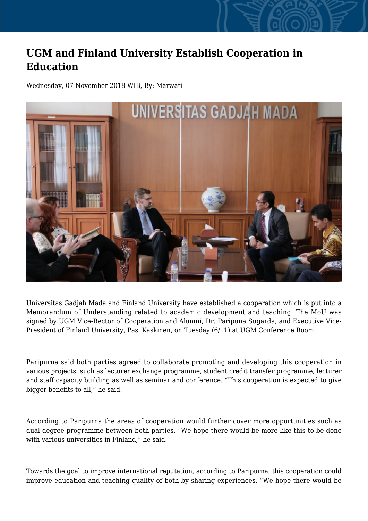## **UGM and Finland University Establish Cooperation in Education**

Wednesday, 07 November 2018 WIB, By: Marwati



Universitas Gadjah Mada and Finland University have established a cooperation which is put into a Memorandum of Understanding related to academic development and teaching. The MoU was signed by UGM Vice-Rector of Cooperation and Alumni, Dr. Paripuna Sugarda, and Executive Vice-President of Finland University, Pasi Kaskinen, on Tuesday (6/11) at UGM Conference Room.

Paripurna said both parties agreed to collaborate promoting and developing this cooperation in various projects, such as lecturer exchange programme, student credit transfer programme, lecturer and staff capacity building as well as seminar and conference. "This cooperation is expected to give bigger benefits to all," he said.

According to Paripurna the areas of cooperation would further cover more opportunities such as dual degree programme between both parties. "We hope there would be more like this to be done with various universities in Finland," he said.

Towards the goal to improve international reputation, according to Paripurna, this cooperation could improve education and teaching quality of both by sharing experiences. "We hope there would be